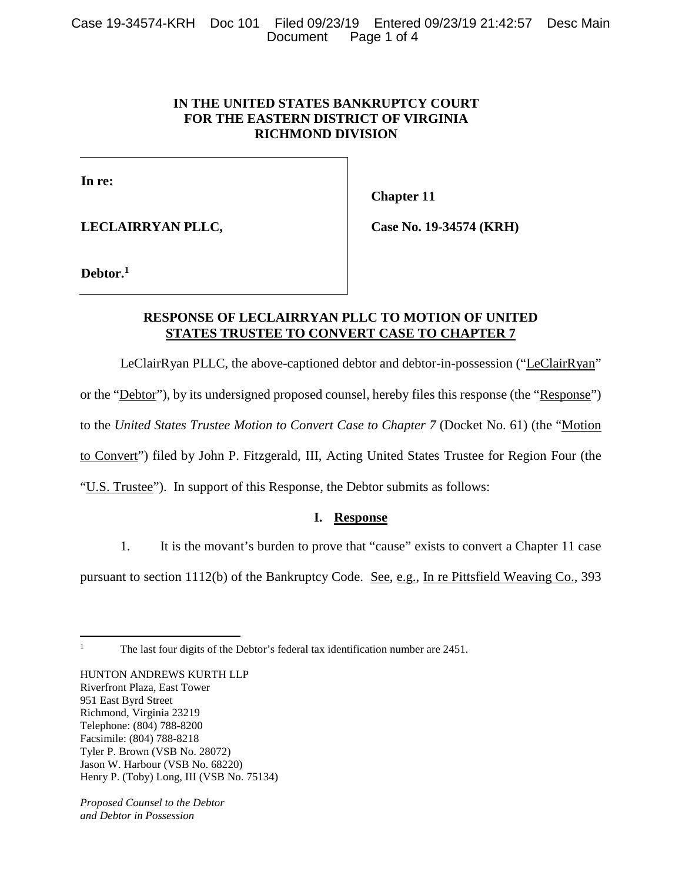## **IN THE UNITED STATES BANKRUPTCY COURT FOR THE EASTERN DISTRICT OF VIRGINIA RICHMOND DIVISION**

**In re:** 

**LECLAIRRYAN PLLC,** 

**Chapter 11** 

**Case No. 19-34574 (KRH)** 

**Debtor.<sup>1</sup>**

## **RESPONSE OF LECLAIRRYAN PLLC TO MOTION OF UNITED STATES TRUSTEE TO CONVERT CASE TO CHAPTER 7**

LeClairRyan PLLC, the above-captioned debtor and debtor-in-possession ("LeClairRyan" or the "Debtor"), by its undersigned proposed counsel, hereby files this response (the "Response") to the *United States Trustee Motion to Convert Case to Chapter 7* (Docket No. 61) (the "Motion to Convert") filed by John P. Fitzgerald, III, Acting United States Trustee for Region Four (the "U.S. Trustee"). In support of this Response, the Debtor submits as follows:

# **I. Response**

1. It is the movant's burden to prove that "cause" exists to convert a Chapter 11 case

pursuant to section 1112(b) of the Bankruptcy Code. See, e.g., In re Pittsfield Weaving Co., 393

 $\overline{a}$ 1

The last four digits of the Debtor's federal tax identification number are 2451.

HUNTON ANDREWS KURTH LLP Riverfront Plaza, East Tower 951 East Byrd Street Richmond, Virginia 23219 Telephone: (804) 788-8200 Facsimile: (804) 788-8218 Tyler P. Brown (VSB No. 28072) Jason W. Harbour (VSB No. 68220) Henry P. (Toby) Long, III (VSB No. 75134)

*Proposed Counsel to the Debtor and Debtor in Possession*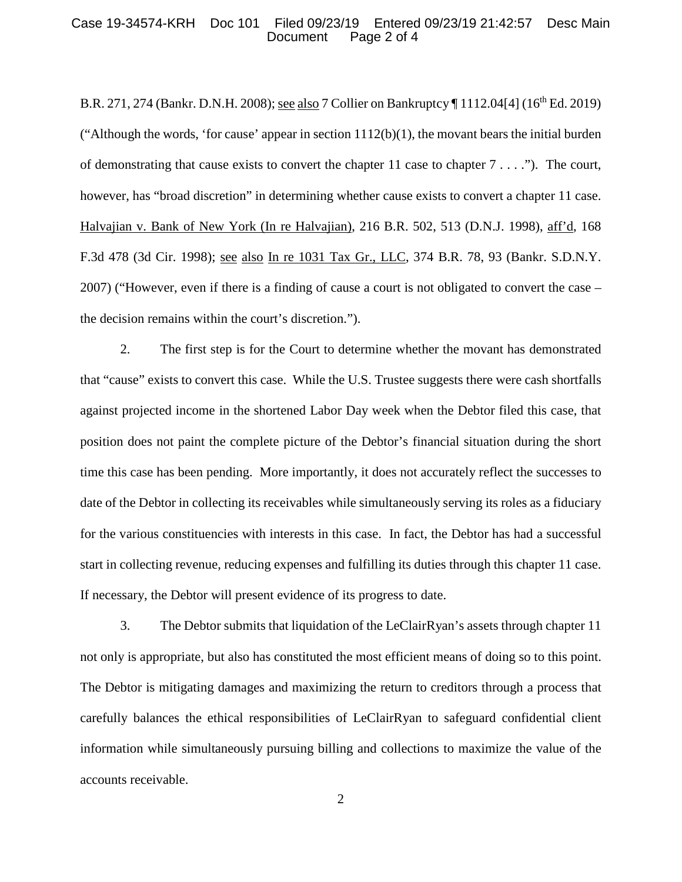#### Case 19-34574-KRH Doc 101 Filed 09/23/19 Entered 09/23/19 21:42:57 Desc Main Page 2 of 4

B.R. 271, 274 (Bankr. D.N.H. 2008); see also 7 Collier on Bankruptcy ¶ 1112.04[4] (16th Ed. 2019) ("Although the words, 'for cause' appear in section  $1112(b)(1)$ , the movant bears the initial burden of demonstrating that cause exists to convert the chapter  $11$  case to chapter  $7 \ldots$ ."). The court, however, has "broad discretion" in determining whether cause exists to convert a chapter 11 case. Halvajian v. Bank of New York (In re Halvajian), 216 B.R. 502, 513 (D.N.J. 1998), aff'd, 168 F.3d 478 (3d Cir. 1998); see also In re 1031 Tax Gr., LLC, 374 B.R. 78, 93 (Bankr. S.D.N.Y. 2007) ("However, even if there is a finding of cause a court is not obligated to convert the case – the decision remains within the court's discretion.").

2. The first step is for the Court to determine whether the movant has demonstrated that "cause" exists to convert this case. While the U.S. Trustee suggests there were cash shortfalls against projected income in the shortened Labor Day week when the Debtor filed this case, that position does not paint the complete picture of the Debtor's financial situation during the short time this case has been pending. More importantly, it does not accurately reflect the successes to date of the Debtor in collecting its receivables while simultaneously serving its roles as a fiduciary for the various constituencies with interests in this case. In fact, the Debtor has had a successful start in collecting revenue, reducing expenses and fulfilling its duties through this chapter 11 case. If necessary, the Debtor will present evidence of its progress to date.

3. The Debtor submits that liquidation of the LeClairRyan's assets through chapter 11 not only is appropriate, but also has constituted the most efficient means of doing so to this point. The Debtor is mitigating damages and maximizing the return to creditors through a process that carefully balances the ethical responsibilities of LeClairRyan to safeguard confidential client information while simultaneously pursuing billing and collections to maximize the value of the accounts receivable.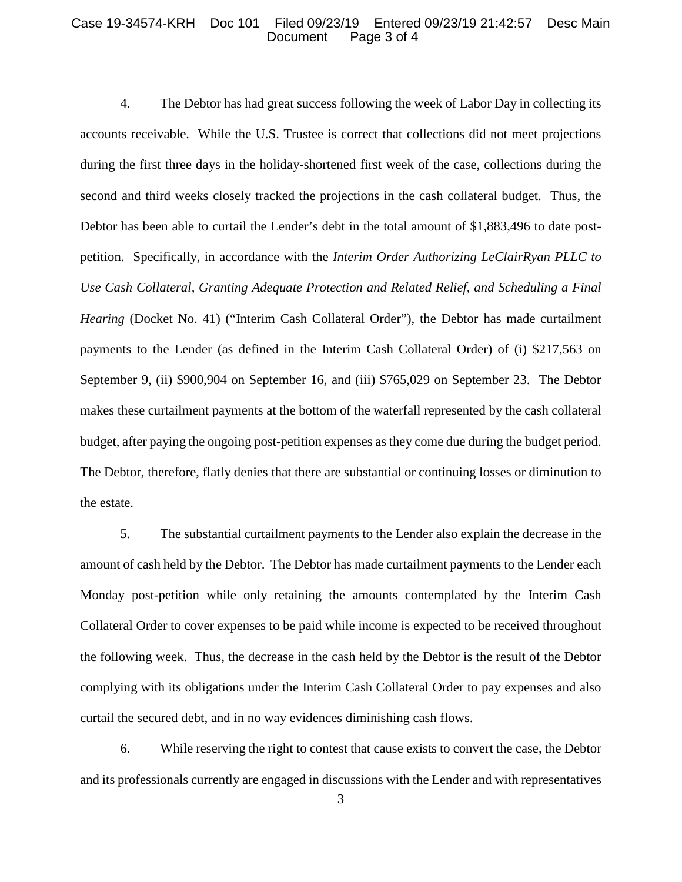#### Case 19-34574-KRH Doc 101 Filed 09/23/19 Entered 09/23/19 21:42:57 Desc Main Page 3 of 4

4. The Debtor has had great success following the week of Labor Day in collecting its accounts receivable. While the U.S. Trustee is correct that collections did not meet projections during the first three days in the holiday-shortened first week of the case, collections during the second and third weeks closely tracked the projections in the cash collateral budget. Thus, the Debtor has been able to curtail the Lender's debt in the total amount of \$1,883,496 to date postpetition. Specifically, in accordance with the *Interim Order Authorizing LeClairRyan PLLC to Use Cash Collateral, Granting Adequate Protection and Related Relief, and Scheduling a Final Hearing* (Docket No. 41) ("Interim Cash Collateral Order"), the Debtor has made curtailment payments to the Lender (as defined in the Interim Cash Collateral Order) of (i) \$217,563 on September 9, (ii) \$900,904 on September 16, and (iii) \$765,029 on September 23. The Debtor makes these curtailment payments at the bottom of the waterfall represented by the cash collateral budget, after paying the ongoing post-petition expenses as they come due during the budget period. The Debtor, therefore, flatly denies that there are substantial or continuing losses or diminution to the estate.

5. The substantial curtailment payments to the Lender also explain the decrease in the amount of cash held by the Debtor. The Debtor has made curtailment payments to the Lender each Monday post-petition while only retaining the amounts contemplated by the Interim Cash Collateral Order to cover expenses to be paid while income is expected to be received throughout the following week. Thus, the decrease in the cash held by the Debtor is the result of the Debtor complying with its obligations under the Interim Cash Collateral Order to pay expenses and also curtail the secured debt, and in no way evidences diminishing cash flows.

6. While reserving the right to contest that cause exists to convert the case, the Debtor and its professionals currently are engaged in discussions with the Lender and with representatives

3